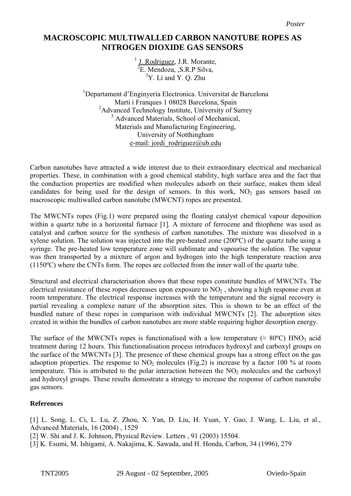## **NITROGEN DIOXIDE GAS SENSORS MACROSCOPIC MULTIWALLED CARBON NANOTUBE ROPES AS**

<sup>1</sup> J. Rodriguez, J.R. Morante, <sup>2</sup>E. Mendoza, ,S.R.P Silva,  $3Y$ . Li and Y. O. Zhu

<sup>1</sup>Departament d'Enginyeria Electronica. Universitat de Barcelona Marti i Franques 1 08028 Barcelona, Spain <sup>2</sup>Advanced Technology Institute, University of Surrey <sup>3</sup> Advanced Materials, School of Mechanical, Materials and Manufacturing Engineering, University of Notthingham e-mail: jordi rodriguez@ub.edu

Carbon nanotubes have attracted a wide interest due to their extraordinary electrical and mechanical properties. These, in combination with a good chemical stability, high surface area and the fact that the conduction properties are modified when molecules adsorb on their surface, makes them ideal candidates for being used for the design of sensors. In this work,  $NO<sub>2</sub>$  gas sensors based on macroscopic multiwalled carbon nanotube (MWCNT) ropes are presented.

The MWCNTs ropes (Fig.1) were prepared using the floating catalyst chemical vapour deposition within a quartz tube in a horizontal furnace [1]. A mixture of ferrocene and thiophene was used as catalyst and carbon source for the synthesis of carbon nanotubes. The mixture was dissolved in a xylene solution. The solution was injected into the pre-heated zone (200ºC) of the quartz tube using a syringe. The pre-heated low temperature zone will sublimate and vapourise the solution. The vapour was then transported by a mixture of argon and hydrogen into the high temperature reaction area (1150ºC) where the CNTs form. The ropes are collected from the inner wall of the quartz tube.

Structural and electrical characterisation shows that these ropes constitute bundles of MWCNTs. The electrical resistance of these ropes decreases upon exposure to  $NO<sub>2</sub>$ , showing a high response even at room temperature. The electrical response increases with the temperature and the signal recovery is partial revealing a complexe nature of the absorption sites. This is shown to be an effect of the bundled nature of these ropes in comparison with individual MWCNTs [2]. The adsorption sites created in within the bundles of carbon nanotubes are more stable requiring higher desorption energy.

The surface of the MWCNTs ropes is functionalised with a low temperature ( $\approx 80^{\circ}$ C) HNO<sub>3</sub> acid treatment during 12 hours. This functionalisation process introduces hydroxyl and carboxyl groups on the surface of the MWCNTs [3]. The presence of these chemical groups has a strong effect on the gas adsoption properties. The response to  $NO<sub>2</sub>$  molecules (Fig.2) is increase by a factor 100 % at room temperature. This is attributed to the polar interaction between the  $NO<sub>2</sub>$  molecules and the carboxyl and hydroxyl groups. These results demostrate a strategy to increase the response of carbon nanotube gas sensors.

## **References**

[1] L. Song, L. Ci, L. Lu, Z. Zhou, X. Yan, D. Liu, H. Yuan, Y. Gao, J. Wang, L. Liu, et al., Advanced Materials, 16 (2004) , 1529 [2] W. Shi and J. K. Johnson, Physical Review. Letters , 91 (2003) 15504. [3] K. Esumi, M. Ishigami, A. Nakajima, K. Sawada, and H. Honda, Carbon, 34 (1996), 279